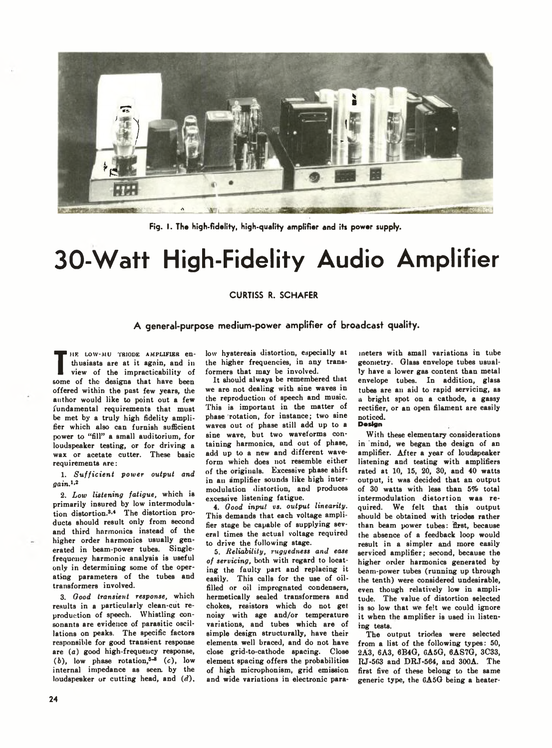

Fig. I. The high-fidelity, high-quality amplifier and its power supply.

# **30-Watt High-Fidelity Audio Amplifier**

## CURTISS R. SCHAFER

# **A general-purpose medium-power amplifier of broadcast quality.**

The distance at it again, and in<br>
view of the impracticability of<br>
some of the designs that have been IHE LOW-MU TRIODE AMPLIFIER enthusiasts are at it again, and in view of the impracticability of offered within the past few years, the author would like to point out a few fundamental requirements that must be met by a truly high fidelity amplifier which also can furnish sufficient power to "fill" a small auditorium, for loudspeaker testing, or for driving a wax or acetate cutter. These basic requirements are:

1. Sufficient power output and *gain.1'2*

*2. Low listening fatigue,* which is primarily insured by low intermodulation distortion.3-4 The distortion products should result only from second and third harmonics instead of the higher order harmonics usually generated in beam-power tubes. Singlefrequency harmonic analysis is useful only in determining some of the operating parameters of the tubes and transformers involved.

3. *Good transient response,* which results in a particularly clean-cut reproduction of speech. Whistling consonants are evidence of parasitic oscillations on peaks. The specific factors responsible for good transient response are (a) good high-frequency response,  $(b)$ , low phase rotation,<sup>5-8</sup>  $(c)$ , low internal impedance as seen, by the loudspeaker or cutting head, and *(d).* low hysteresis distortion, especially at the higher frequencies, in any transformers that may be involved.

It should always be remembered that we are not dealing with sine waves in the reproduction of speech and music. This is important in the matter of phase rotation, for instance; two sine waves out of phase still add up to a sine wave, but two waveforms containing harmonics, and out of phase, add up to a new and different waveform which does not resemble either of the originals. Excessive phase shift in an amplifier sounds like high intermodulation distortion, and produces excessive listening fatigue.

4. *Good input vs. output linearity.* This demands that each voltage amplifier stage be capable of supplying several times the actual voltage required to drive the following stage.

5. *Reliability, ruggedness and ease of servicing,* both with regard to locating the faulty part and replacing it easily. This calls for the use of oilfilled or oil impregnated condensers, hermetically sealed transformers and chokes, resistors which do not get noisy with age and/or temperature variations, and tubes which are of simple design structurally, have their elements, well braced, and do not have close grid-to-cathode spacing. Close element spacing offers the probabilities of high microphonism, grid emission and wide variations in electronic para-

meters with small variations in tube geometry. Olass envelope tubes usually have a lower gas content than metal envelope tubes. In addition, glass tubes are an aid to rapid servicing, as a bright spot on a cathode, a gassy rectifier, or an open filament are easily noticed.

### Design

With these elementary considerations in mind, we began the design of an amplifier. After a year of loudspeaker listening and testing with amplifiers rated at 10, IS, 20, 30, and 40 watts output, it was decided that an output of 30 watts with less than 5% total intermodulation distortion was required. We felt that this output should be obtained with triodes rather than beam power tubes: first, because the absence of a feedback loop would result in a simpler and more easily serviced amplifier; second, because the higher order harmonics generated by beam-power tubes (running up through the tenth) were considered undesirable, even though relatively low in amplitude. The value of distortion selected is so low that we felt we could ignore it when the amplifier is used in listening tests.

The output triodes were selected from a list of the following types: 50, 2A3, 6A3, 6B4G, 0A5G, 6AS7G, 3C33, RJ-5C3 and DR.T-564, and 300A. The first five of these belong to the same generic type, the 0A5G being a heater-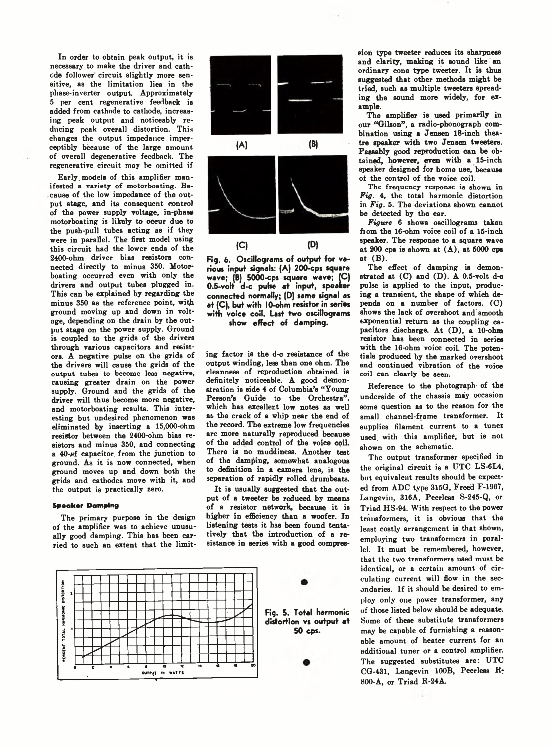In order to obtain peak output, it is necessary to make the driver and cathode follower circuit slightly more sensitive, as the limitation lies in the phase-inverter output. Approximately 5 per cent regenerative feedback is added from cathode to cathode, increasing peak output and noticeably reducing peak overall distortion. This changes the output impedance imperceptibly because of the large amount of overall degenerative feedback. The regenerative circuit may be omitted if

Early. models of this amplifier manifested a variety of motorboating. Because of the low impedance of the output stage, and its consequent control of the power supply voltage, in-phase motorboating is likely to oceur due to the push-pull tubes acting as if they were in parallel. The first model using this circuit had the lower ends of the 2400-ohm driver bias resistors connected directly to minus 350. Motorboating occurred even with only the drivers and output tubes plugged in. This can be explained by regarding the minus 350 as the reference point, with ground moving up and down in voltage, depending on the drain by the output stage on the power supply. Ground is coupled to the grids of the drivers through various capacitors and resistors. A negative pulse on the grids of the drivers will cause the grids of the output tubes to become less negative, causing greater drain on the power supply. Ground and the grids of the driver will thus become more negative, and motorboating results. This interesting but undesired phenomenon was eliminated by inserting a 15,000-ohm resistor between the 2400-ohm bias resistors and minus 350, and connecting a  $40 - \mu f$  capacitor from the junction to ground. As it is now connected, when ground moves up and down both the grids and cathodes move with it, and the output is practically zero.

#### Speaker Damping

The primary purpose in the design of the amplifier was to achieve unusually good damping. This has been carried to such an extent that the limit-



Fig, 6. Oscillograms of output for various input signals: (A) 200-cps square wave; (B) 5000-cps square wave; |C) 0.5-volt d-c pulse at input, speaker connected normally; (D) same signal as at (C), but with 10-ohm resistor in series with voice coil. Last two oscillograms show effect of damping.

ing factor is the d-c resistance of the output winding, less than one ohm. The cleanness of reproduction obtained is definitely noticeable. A good demonstration is side 4 of Columbia's "Young Person's Guide to the Orchestra" which has excellent low notes as well as the crack of a whip near the end of the record. The extreme low frequencies are more naturally reproduced because of the added control of the voice coil. There is no muddiness. Another test of the damping, somewhat analogous to definition in a camera lens, is the separation of rapidly rolled drumbeats.

It is usually suggested that the output of a tweeter be reduced by means of a resistor network, because it is higher in efficiency than a woofer. In listening tests it has been found tentatively that the introduction of a resistance in series with a good compres-





sion type tweeter reduces its sharpness and clarity, making it sound like an ordinary cone type tweeter. It is thus suggested that other methods might be tried, such as multiple tweeters spreading the sound more widely, for example.

The amplifier is used primarily in our "Gilson", a radio-phonograph combination using a Jensen 18-inch theatre speaker with two Jensen tweeters. Passably good reproduction can be obtained, however, even with a 15-inch speaker designed for home use, because of the control of the voice coil.

The frequency response is shown in *Fig.* 4, the total harmonic distortion in *Fig.* 5. The deviations shown cannot be detected by the ear.

*Figure* 6 shows oscillograms taken fiom the 16-ohm voice coil of a 15-inch speaker. The response to a square wave at  $200$  cps is shown at  $(A)$ , at  $5000$  cps at  $(B)$ .

The effect of damping is demonstrated at  $(C)$  and  $(D)$ . A 0.5-volt d-c pulse is applied to the input, producing a transient, the shape of which depends on a number of factors. (C) shows the lack of overshoot and smooth exponential return as the coupling capacitors discharge. At (D), a 10-ohm resistor has been connected in series with the 16-ohm voice coil. The potentials produced by the marked overshoot and continued vibration of the voice coil can clearly be seen.

Reference to the photograph- of the underside of the chassis may occasion some question as to the reason for the small channel-frame transformer. It supplies filament current to a tuner used with this amplifier, but is not shown on the schematic.

The output transformer specified in the original circuit is a UTC LS-6L4, but equivalent results should be expected from ADC type 315G, Treed F-1967, Langevin, 316A, Peerless S-245-Q, or Triad HS-94. With respect to the power transformers, it is obvious that the least costly arrangement is that shown, employing two transformers in parallel. It must be remembered, however, that the two transformers used must be identical, or a certain amount of circulating current will flow in the secondaries. If it should be desired to employ only one power transformer, any of those listed below should be adequate. Some of these substitute transformers may be capable of furnishing a reasonable amount of heater current for an additional tuner or a control amplifier. The suggested substitutes are: UTC CG-431, Langevin 100B, Peerless R-800-A, or Triad R-24A.